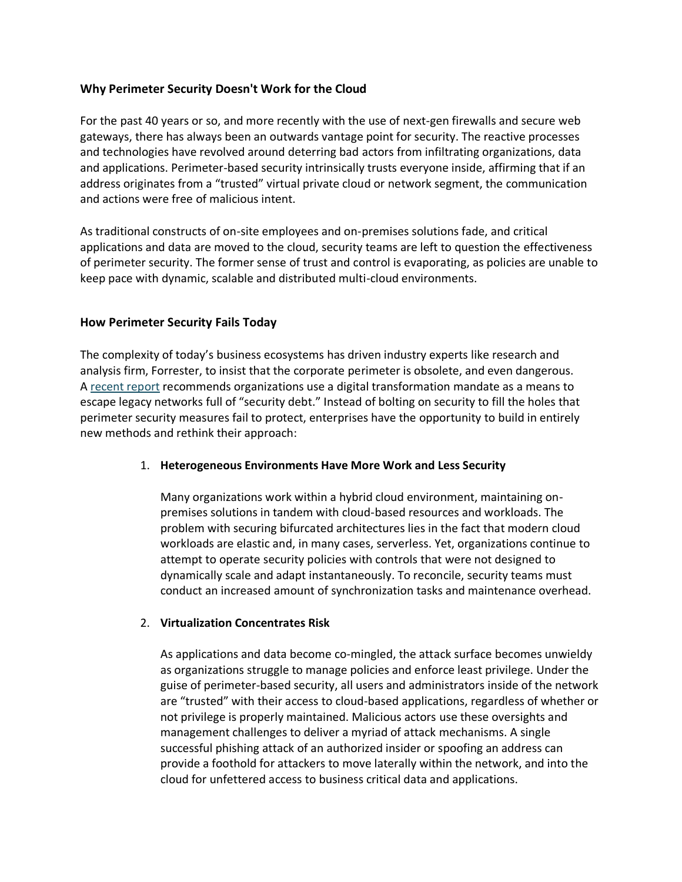# **Why Perimeter Security Doesn't Work for the Cloud**

For the past 40 years or so, and more recently with the use of next-gen firewalls and secure web gateways, there has always been an outwards vantage point for security. The reactive processes and technologies have revolved around deterring bad actors from infiltrating organizations, data and applications. Perimeter-based security intrinsically trusts everyone inside, affirming that if an address originates from a "trusted" virtual private cloud or network segment, the communication and actions were free of malicious intent.

As traditional constructs of on-site employees and on-premises solutions fade, and critical applications and data are moved to the cloud, security teams are left to question the effectiveness of perimeter security. The former sense of trust and control is evaporating, as policies are unable to keep pace with dynamic, scalable and distributed multi-cloud environments.

### **How Perimeter Security Fails Today**

The complexity of today's business ecosystems has driven industry experts like research and analysis firm, Forrester, to insist that the corporate perimeter is obsolete, and even dangerous. A [recent report](https://www.forrester.com/report/FutureProof+Your+Digital+Business+With+Zero+Trust+Security/-/E-RES137483) recommends organizations use a digital transformation mandate as a means to escape legacy networks full of "security debt." Instead of bolting on security to fill the holes that perimeter security measures fail to protect, enterprises have the opportunity to build in entirely new methods and rethink their approach:

#### 1. **Heterogeneous Environments Have More Work and Less Security**

Many organizations work within a hybrid cloud environment, maintaining onpremises solutions in tandem with cloud-based resources and workloads. The problem with securing bifurcated architectures lies in the fact that modern cloud workloads are elastic and, in many cases, serverless. Yet, organizations continue to attempt to operate security policies with controls that were not designed to dynamically scale and adapt instantaneously. To reconcile, security teams must conduct an increased amount of synchronization tasks and maintenance overhead.

#### 2. **Virtualization Concentrates Risk**

As applications and data become co-mingled, the attack surface becomes unwieldy as organizations struggle to manage policies and enforce least privilege. Under the guise of perimeter-based security, all users and administrators inside of the network are "trusted" with their access to cloud-based applications, regardless of whether or not privilege is properly maintained. Malicious actors use these oversights and management challenges to deliver a myriad of attack mechanisms. A single successful phishing attack of an authorized insider or spoofing an address can provide a foothold for attackers to move laterally within the network, and into the cloud for unfettered access to business critical data and applications.